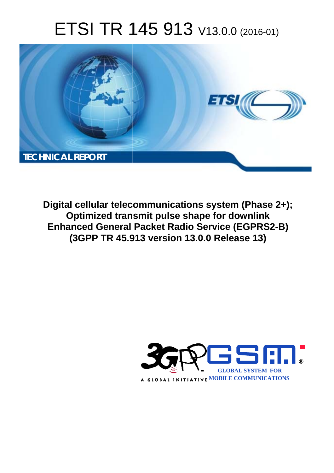# ETSI TR 145 913 V13.0.0 (2016-01)



**Digital cellular telecommunications system (Phase 2+); Optimized transmit pulse shape for downlink Enhanced General Packet Radio Service (EGPRS2-B) (3GPP TR 45.9 .913 version 13.0.0 Release 13 13)** 

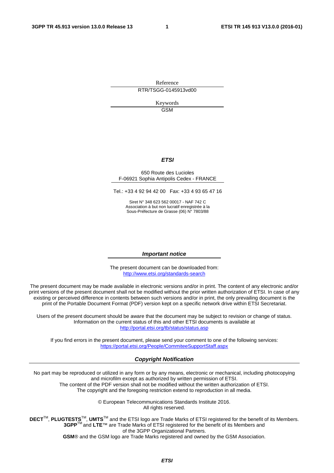Reference RTR/TSGG-0145913vd00

> Keywords **GSM**

#### *ETSI*

#### 650 Route des Lucioles F-06921 Sophia Antipolis Cedex - FRANCE

Tel.: +33 4 92 94 42 00 Fax: +33 4 93 65 47 16

Siret N° 348 623 562 00017 - NAF 742 C Association à but non lucratif enregistrée à la Sous-Préfecture de Grasse (06) N° 7803/88

#### *Important notice*

The present document can be downloaded from: <http://www.etsi.org/standards-search>

The present document may be made available in electronic versions and/or in print. The content of any electronic and/or print versions of the present document shall not be modified without the prior written authorization of ETSI. In case of any existing or perceived difference in contents between such versions and/or in print, the only prevailing document is the print of the Portable Document Format (PDF) version kept on a specific network drive within ETSI Secretariat.

Users of the present document should be aware that the document may be subject to revision or change of status. Information on the current status of this and other ETSI documents is available at <http://portal.etsi.org/tb/status/status.asp>

If you find errors in the present document, please send your comment to one of the following services: <https://portal.etsi.org/People/CommiteeSupportStaff.aspx>

#### *Copyright Notification*

No part may be reproduced or utilized in any form or by any means, electronic or mechanical, including photocopying and microfilm except as authorized by written permission of ETSI.

The content of the PDF version shall not be modified without the written authorization of ETSI. The copyright and the foregoing restriction extend to reproduction in all media.

> © European Telecommunications Standards Institute 2016. All rights reserved.

**DECT**TM, **PLUGTESTS**TM, **UMTS**TM and the ETSI logo are Trade Marks of ETSI registered for the benefit of its Members. **3GPP**TM and **LTE**™ are Trade Marks of ETSI registered for the benefit of its Members and of the 3GPP Organizational Partners.

**GSM**® and the GSM logo are Trade Marks registered and owned by the GSM Association.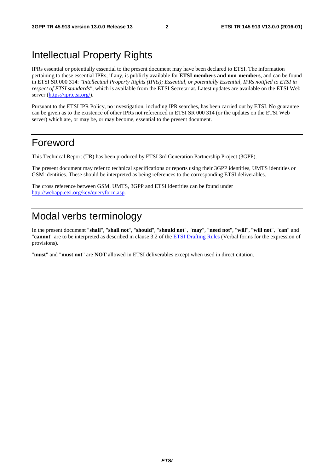### Intellectual Property Rights

IPRs essential or potentially essential to the present document may have been declared to ETSI. The information pertaining to these essential IPRs, if any, is publicly available for **ETSI members and non-members**, and can be found in ETSI SR 000 314: *"Intellectual Property Rights (IPRs); Essential, or potentially Essential, IPRs notified to ETSI in respect of ETSI standards"*, which is available from the ETSI Secretariat. Latest updates are available on the ETSI Web server [\(https://ipr.etsi.org/](https://ipr.etsi.org/)).

Pursuant to the ETSI IPR Policy, no investigation, including IPR searches, has been carried out by ETSI. No guarantee can be given as to the existence of other IPRs not referenced in ETSI SR 000 314 (or the updates on the ETSI Web server) which are, or may be, or may become, essential to the present document.

### Foreword

This Technical Report (TR) has been produced by ETSI 3rd Generation Partnership Project (3GPP).

The present document may refer to technical specifications or reports using their 3GPP identities, UMTS identities or GSM identities. These should be interpreted as being references to the corresponding ETSI deliverables.

The cross reference between GSM, UMTS, 3GPP and ETSI identities can be found under <http://webapp.etsi.org/key/queryform.asp>.

## Modal verbs terminology

In the present document "**shall**", "**shall not**", "**should**", "**should not**", "**may**", "**need not**", "**will**", "**will not**", "**can**" and "**cannot**" are to be interpreted as described in clause 3.2 of the [ETSI Drafting Rules](http://portal.etsi.org/Help/editHelp!/Howtostart/ETSIDraftingRules.aspx) (Verbal forms for the expression of provisions).

"**must**" and "**must not**" are **NOT** allowed in ETSI deliverables except when used in direct citation.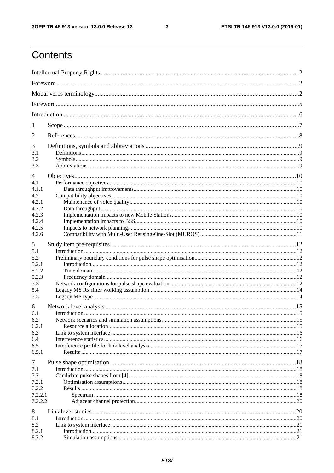$\mathbf{3}$ 

## Contents

| 1<br>2<br>3<br>3.1<br>3.2<br>3.3<br>4<br>4.1<br>4.1.1<br>4.2<br>4.2.1<br>4.2.2<br>4.2.3<br>4.2.4<br>4.2.5<br>4.2.6<br>5<br>5.1<br>5.2<br>5.2.1<br>5.2.2<br>5.2.3<br>5.3<br>5.4<br>5.5<br>6<br>6.1<br>6.2<br>6.2.1<br>6.3<br>6.4<br>6.5<br>6.5.1<br>$\tau$<br>7.1<br>7.2<br>7.2.1<br>7.2.2<br>7.2.2.1<br>7.2.2.2<br>8<br>8.1 |     |  |
|-----------------------------------------------------------------------------------------------------------------------------------------------------------------------------------------------------------------------------------------------------------------------------------------------------------------------------|-----|--|
|                                                                                                                                                                                                                                                                                                                             |     |  |
|                                                                                                                                                                                                                                                                                                                             |     |  |
|                                                                                                                                                                                                                                                                                                                             |     |  |
|                                                                                                                                                                                                                                                                                                                             |     |  |
|                                                                                                                                                                                                                                                                                                                             |     |  |
|                                                                                                                                                                                                                                                                                                                             |     |  |
|                                                                                                                                                                                                                                                                                                                             |     |  |
|                                                                                                                                                                                                                                                                                                                             |     |  |
|                                                                                                                                                                                                                                                                                                                             |     |  |
|                                                                                                                                                                                                                                                                                                                             |     |  |
|                                                                                                                                                                                                                                                                                                                             |     |  |
|                                                                                                                                                                                                                                                                                                                             |     |  |
|                                                                                                                                                                                                                                                                                                                             |     |  |
|                                                                                                                                                                                                                                                                                                                             |     |  |
|                                                                                                                                                                                                                                                                                                                             |     |  |
|                                                                                                                                                                                                                                                                                                                             |     |  |
|                                                                                                                                                                                                                                                                                                                             |     |  |
|                                                                                                                                                                                                                                                                                                                             |     |  |
|                                                                                                                                                                                                                                                                                                                             |     |  |
|                                                                                                                                                                                                                                                                                                                             |     |  |
|                                                                                                                                                                                                                                                                                                                             |     |  |
|                                                                                                                                                                                                                                                                                                                             |     |  |
|                                                                                                                                                                                                                                                                                                                             |     |  |
|                                                                                                                                                                                                                                                                                                                             |     |  |
|                                                                                                                                                                                                                                                                                                                             |     |  |
|                                                                                                                                                                                                                                                                                                                             |     |  |
|                                                                                                                                                                                                                                                                                                                             |     |  |
|                                                                                                                                                                                                                                                                                                                             |     |  |
|                                                                                                                                                                                                                                                                                                                             |     |  |
|                                                                                                                                                                                                                                                                                                                             |     |  |
|                                                                                                                                                                                                                                                                                                                             |     |  |
|                                                                                                                                                                                                                                                                                                                             |     |  |
|                                                                                                                                                                                                                                                                                                                             |     |  |
|                                                                                                                                                                                                                                                                                                                             |     |  |
|                                                                                                                                                                                                                                                                                                                             |     |  |
|                                                                                                                                                                                                                                                                                                                             |     |  |
|                                                                                                                                                                                                                                                                                                                             |     |  |
|                                                                                                                                                                                                                                                                                                                             |     |  |
|                                                                                                                                                                                                                                                                                                                             |     |  |
|                                                                                                                                                                                                                                                                                                                             |     |  |
|                                                                                                                                                                                                                                                                                                                             |     |  |
|                                                                                                                                                                                                                                                                                                                             |     |  |
|                                                                                                                                                                                                                                                                                                                             |     |  |
|                                                                                                                                                                                                                                                                                                                             | 8.2 |  |
| 8.2.1                                                                                                                                                                                                                                                                                                                       |     |  |
| 8.2.2                                                                                                                                                                                                                                                                                                                       |     |  |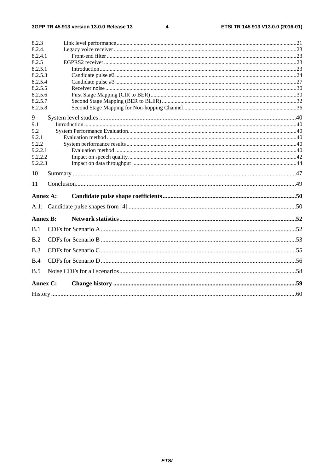$\overline{\mathbf{4}}$ 

| 8.2.3           |  |
|-----------------|--|
| 8.2.4.          |  |
| 8.2.4.1         |  |
| 8.2.5           |  |
| 8.2.5.1         |  |
| 8.2.5.3         |  |
| 8.2.5.4         |  |
| 8.2.5.5         |  |
| 8.2.5.6         |  |
| 8.2.5.7         |  |
| 8.2.5.8         |  |
| 9               |  |
| 9.1             |  |
| 9.2             |  |
| 9.2.1           |  |
| 9.2.2           |  |
| 9.2.2.1         |  |
| 9.2.2.2         |  |
| 9.2.2.3         |  |
| 10              |  |
| 11              |  |
|                 |  |
| Annex A:        |  |
|                 |  |
| <b>Annex B:</b> |  |
| B.1             |  |
| B.2             |  |
| B.3             |  |
| B.4             |  |
|                 |  |
| B.5             |  |
| Annex C:        |  |
|                 |  |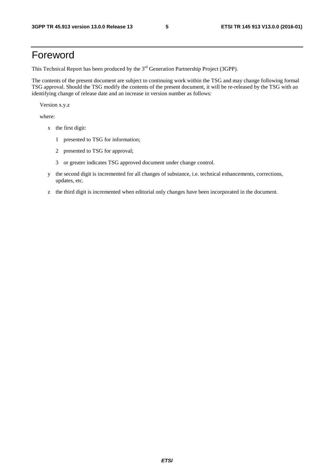### Foreword

This Technical Report has been produced by the  $3<sup>rd</sup>$  Generation Partnership Project (3GPP).

The contents of the present document are subject to continuing work within the TSG and may change following formal TSG approval. Should the TSG modify the contents of the present document, it will be re-released by the TSG with an identifying change of release date and an increase in version number as follows:

Version x.y.z

where:

- x the first digit:
	- 1 presented to TSG for information;
	- 2 presented to TSG for approval;
	- 3 or greater indicates TSG approved document under change control.
- y the second digit is incremented for all changes of substance, i.e. technical enhancements, corrections, updates, etc.
- z the third digit is incremented when editorial only changes have been incorporated in the document.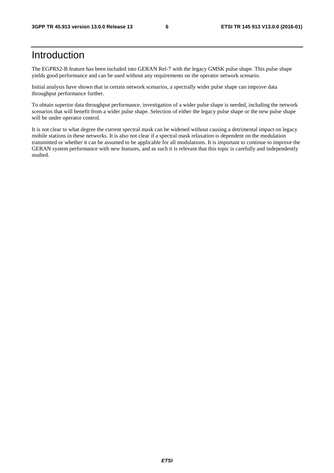### Introduction

The EGPRS2-B feature has been included into GERAN Rel-7 with the legacy GMSK pulse shape. This pulse shape yields good performance and can be used without any requirements on the operator network scenario.

Initial analysis have shown that in certain network scenarios, a spectrally wider pulse shape can improve data throughput performance further.

To obtain superior data throughput performance, investigation of a wider pulse shape is needed, including the network scenarios that will benefit from a wider pulse shape. Selection of either the legacy pulse shape or the new pulse shape will be under operator control.

It is not clear to what degree the current spectral mask can be widened without causing a detrimental impact on legacy mobile stations in these networks. It is also not clear if a spectral mask relaxation is dependent on the modulation transmitted or whether it can be assumed to be applicable for all modulations. It is important to continue to improve the GERAN system performance with new features, and as such it is relevant that this topic is carefully and independently studied.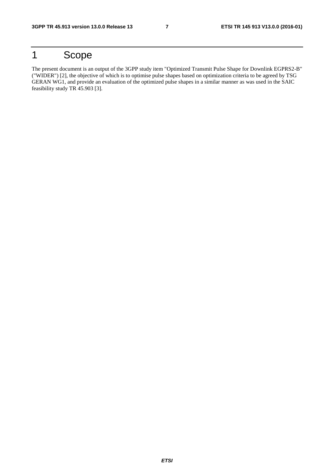## 1 Scope

The present document is an output of the 3GPP study item "Optimized Transmit Pulse Shape for Downlink EGPRS2-B" ("WIDER") [2], the objective of which is to optimise pulse shapes based on optimization criteria to be agreed by TSG GERAN WG1, and provide an evaluation of the optimized pulse shapes in a similar manner as was used in the SAIC feasibility study TR 45.903 [3].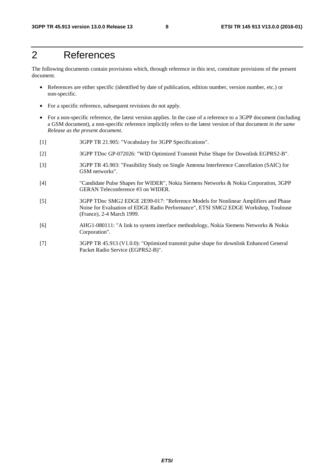## 2 References

The following documents contain provisions which, through reference in this text, constitute provisions of the present document.

- References are either specific (identified by date of publication, edition number, version number, etc.) or non-specific.
- For a specific reference, subsequent revisions do not apply.
- For a non-specific reference, the latest version applies. In the case of a reference to a 3GPP document (including a GSM document), a non-specific reference implicitly refers to the latest version of that document *in the same Release as the present document*.
- [1] 3GPP TR 21.905: "Vocabulary for 3GPP Specifications".
- [2] 3GPP TDoc GP-072026: "WID Optimized Transmit Pulse Shape for Downlink EGPRS2-B".
- [3] 3GPP TR 45.903: "Feasibility Study on Single Antenna Interference Cancellation (SAIC) for GSM networks".
- [4] "Candidate Pulse Shapes for WIDER", Nokia Siemens Networks & Nokia Corporation, 3GPP GERAN Teleconference #3 on WIDER.
- [5] 3GPP TDoc SMG2 EDGE 2E99-017: "Reference Models for Nonlinear Amplifiers and Phase Noise for Evaluation of EDGE Radio Performance", ETSI SMG2 EDGE Workshop, Toulouse (France), 2-4 March 1999.
- [6] AHG1-080111: "A link to system interface methodology, Nokia Siemens Networks & Nokia Corporation".
- [7] 3GPP TR 45.913 (V1.0.0): "Optimized transmit pulse shape for downlink Enhanced General Packet Radio Service (EGPRS2-B)".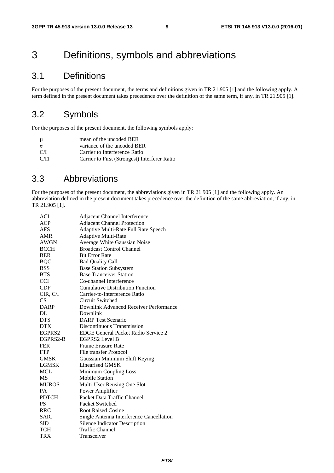## 3 Definitions, symbols and abbreviations

### 3.1 Definitions

For the purposes of the present document, the terms and definitions given in TR 21.905 [1] and the following apply. A term defined in the present document takes precedence over the definition of the same term, if any, in TR 21.905 [1].

### 3.2 Symbols

For the purposes of the present document, the following symbols apply:

| $\mu$    | mean of the uncoded BER                       |
|----------|-----------------------------------------------|
| $\sigma$ | variance of the uncoded BER                   |
| C/I      | Carrier to Interference Ratio                 |
| C/I1     | Carrier to First (Strongest) Interferer Ratio |

### 3.3 Abbreviations

For the purposes of the present document, the abbreviations given in TR 21.905 [1] and the following apply. An abbreviation defined in the present document takes precedence over the definition of the same abbreviation, if any, in TR 21.905 [1].

| ACI          | Adjacent Channel Interference              |
|--------------|--------------------------------------------|
| ACP          | <b>Adjacent Channel Protection</b>         |
| <b>AFS</b>   | Adaptive Multi-Rate Full Rate Speech       |
| AMR          | Adaptive Multi-Rate                        |
| <b>AWGN</b>  | Average White Gaussian Noise               |
| <b>BCCH</b>  | <b>Broadcast Control Channel</b>           |
| <b>BER</b>   | <b>Bit Error Rate</b>                      |
| <b>BQC</b>   | <b>Bad Quality Call</b>                    |
| <b>BSS</b>   | <b>Base Station Subsystem</b>              |
| <b>BTS</b>   | <b>Base Tranceiver Station</b>             |
| <b>CCI</b>   | Co-channel Interference                    |
| CDF          | <b>Cumulative Distribution Function</b>    |
| CIR, C/I     | Carrier-to-Interference Ratio              |
| CS           | Circuit Switched                           |
| <b>DARP</b>  | Downlink Advanced Receiver Performance     |
| DL           | Downlink                                   |
| <b>DTS</b>   | <b>DARP</b> Test Scenario                  |
| <b>DTX</b>   | Discontinuous Transmission                 |
| EGPRS2       | <b>EDGE General Packet Radio Service 2</b> |
| EGPRS2-B     | EGPRS2 Level B                             |
| <b>FER</b>   | Frame Erasure Rate                         |
| <b>FTP</b>   | File transfer Protocol                     |
| <b>GMSK</b>  | Gaussian Minimum Shift Keying              |
| <b>LGMSK</b> | Linearised GMSK                            |
| <b>MCL</b>   | Minimum Coupling Loss                      |
| <b>MS</b>    | <b>Mobile Station</b>                      |
| <b>MUROS</b> | Multi-User Reusing One Slot                |
| PA           | Power Amplifier                            |
| <b>PDTCH</b> | Packet Data Traffic Channel                |
| <b>PS</b>    | Packet Switched                            |
| <b>RRC</b>   | <b>Root Raised Cosine</b>                  |
| <b>SAIC</b>  | Single Antenna Interference Cancellation   |
| <b>SID</b>   | Silence Indicator Description              |
| TCH          | <b>Traffic Channel</b>                     |
| <b>TRX</b>   | Transceiver                                |
|              |                                            |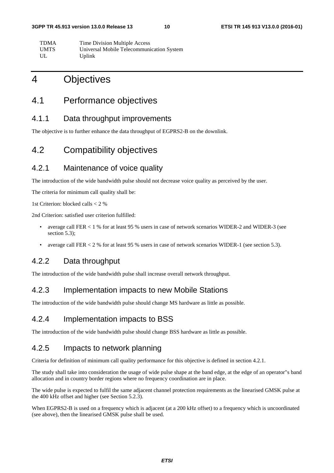| TDMA        | Time Division Multiple Access             |
|-------------|-------------------------------------------|
| <b>UMTS</b> | Universal Mobile Telecommunication System |
| UL          | Uplink                                    |

### 4 Objectives

### 4.1 Performance objectives

#### 4.1.1 Data throughput improvements

The objective is to further enhance the data throughput of EGPRS2-B on the downlink.

### 4.2 Compatibility objectives

#### 4.2.1 Maintenance of voice quality

The introduction of the wide bandwidth pulse should not decrease voice quality as perceived by the user.

The criteria for minimum call quality shall be:

1st Criterion: blocked calls < 2 %

2nd Criterion: satisfied user criterion fulfilled:

- average call FER < 1 % for at least 95 % users in case of network scenarios WIDER-2 and WIDER-3 (see section 5.3):
- average call FER < 2 % for at least 95 % users in case of network scenarios WIDER-1 (see section 5.3).

### 4.2.2 Data throughput

The introduction of the wide bandwidth pulse shall increase overall network throughput.

#### 4.2.3 Implementation impacts to new Mobile Stations

The introduction of the wide bandwidth pulse should change MS hardware as little as possible.

#### 4.2.4 Implementation impacts to BSS

The introduction of the wide bandwidth pulse should change BSS hardware as little as possible.

#### 4.2.5 Impacts to network planning

Criteria for definition of minimum call quality performance for this objective is defined in section 4.2.1.

The study shall take into consideration the usage of wide pulse shape at the band edge, at the edge of an operator"s band allocation and in country border regions where no frequency coordination are in place.

The wide pulse is expected to fulfil the same adjacent channel protection requirements as the linearised GMSK pulse at the 400 kHz offset and higher (see Section 5.2.3).

When EGPRS2-B is used on a frequency which is adjacent (at a 200 kHz offset) to a frequency which is uncoordinated (see above), then the linearised GMSK pulse shall be used.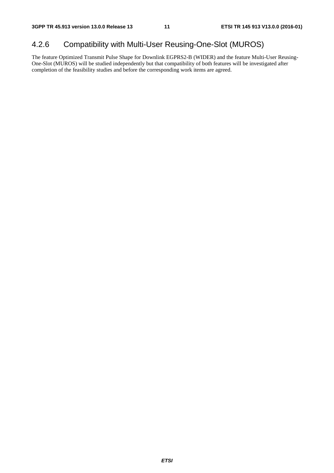### 4.2.6 Compatibility with Multi-User Reusing-One-Slot (MUROS)

The feature Optimized Transmit Pulse Shape for Downlink EGPRS2-B (WIDER) and the feature Multi-User Reusing-One-Slot (MUROS) will be studied independently but that compatibility of both features will be investigated after completion of the feasibility studies and before the corresponding work items are agreed.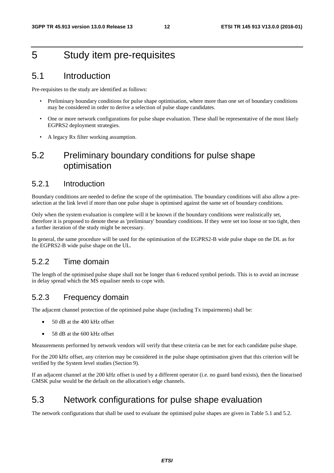## 5 Study item pre-requisites

### 5.1 Introduction

Pre-requisites to the study are identified as follows:

- Preliminary boundary conditions for pulse shape optimisation, where more than one set of boundary conditions may be considered in order to derive a selection of pulse shape candidates.
- One or more network configurations for pulse shape evaluation. These shall be representative of the most likely EGPRS2 deployment strategies.
- A legacy Rx filter working assumption.

### 5.2 Preliminary boundary conditions for pulse shape optimisation

#### 5.2.1 Introduction

Boundary conditions are needed to define the scope of the optimisation. The boundary conditions will also allow a preselection at the link level if more than one pulse shape is optimised against the same set of boundary conditions.

Only when the system evaluation is complete will it be known if the boundary conditions were realistically set, therefore it is proposed to denote these as 'preliminary' boundary conditions. If they were set too loose or too tight, then a further iteration of the study might be necessary.

In general, the same procedure will be used for the optimisation of the EGPRS2-B wide pulse shape on the DL as for the EGPRS2-B wide pulse shape on the UL.

#### 5.2.2 Time domain

The length of the optimised pulse shape shall not be longer than 6 reduced symbol periods. This is to avoid an increase in delay spread which the MS equaliser needs to cope with.

#### 5.2.3 Frequency domain

The adjacent channel protection of the optimised pulse shape (including Tx impairments) shall be:

- 50 dB at the 400 kHz offset
- 58 dB at the 600 kHz offset

Measurements performed by network vendors will verify that these criteria can be met for each candidate pulse shape.

For the 200 kHz offset, any criterion may be considered in the pulse shape optimisation given that this criterion will be verified by the System level studies (Section 9).

If an adjacent channel at the 200 kHz offset is used by a different operator (i.e. no guard band exists), then the linearised GMSK pulse would be the default on the allocation's edge channels.

### 5.3 Network configurations for pulse shape evaluation

The network configurations that shall be used to evaluate the optimised pulse shapes are given in Table 5.1 and 5.2.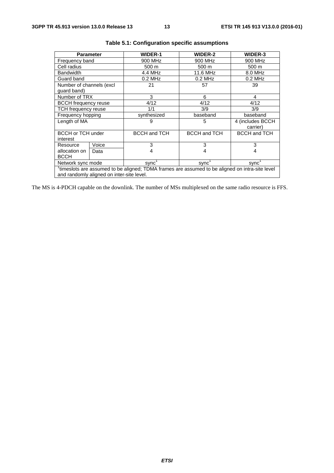| <b>Parameter</b>                                         |       | <b>WIDER-1</b>                                                                                              | <b>WIDER-2</b>      | <b>WIDER-3</b>      |  |  |  |  |
|----------------------------------------------------------|-------|-------------------------------------------------------------------------------------------------------------|---------------------|---------------------|--|--|--|--|
| Frequency band                                           |       | 900 MHz                                                                                                     | 900 MHz             | 900 MHz             |  |  |  |  |
| Cell radius                                              |       | 500 m                                                                                                       | 500 m               | 500 m               |  |  |  |  |
| <b>Bandwidth</b>                                         |       | 4.4 MHz                                                                                                     | 11.6 MHz            | 8.0 MHz             |  |  |  |  |
| Guard band                                               |       | $0.2$ MHz                                                                                                   | $0.2$ MHz           | $0.2$ MHz           |  |  |  |  |
| Number of channels (excl                                 |       | 21                                                                                                          | 57                  | 39                  |  |  |  |  |
| guard band)                                              |       |                                                                                                             |                     |                     |  |  |  |  |
| Number of TRX                                            |       | 3                                                                                                           | 6                   | 4                   |  |  |  |  |
| <b>BCCH</b> frequency reuse                              |       | 4/12                                                                                                        | 4/12                | 4/12                |  |  |  |  |
| TCH frequency reuse                                      |       | 1/1                                                                                                         | 3/9                 | 3/9                 |  |  |  |  |
| Frequency hopping                                        |       | synthesized                                                                                                 | baseband            | baseband            |  |  |  |  |
| Length of MA                                             |       | 9                                                                                                           | 5                   | 4 (includes BCCH    |  |  |  |  |
|                                                          |       |                                                                                                             |                     | carrier)            |  |  |  |  |
| <b>BCCH or TCH under</b>                                 |       | <b>BCCH and TCH</b>                                                                                         | <b>BCCH and TCH</b> | <b>BCCH and TCH</b> |  |  |  |  |
| interest                                                 |       |                                                                                                             |                     |                     |  |  |  |  |
| Resource                                                 | Voice | 3                                                                                                           | 3                   | 3                   |  |  |  |  |
| allocation on                                            | Data  | 4                                                                                                           | 4                   | 4                   |  |  |  |  |
| <b>BCCH</b>                                              |       |                                                                                                             |                     |                     |  |  |  |  |
| Network sync mode<br>sync'<br>sync <sup>1</sup><br>sync' |       |                                                                                                             |                     |                     |  |  |  |  |
|                                                          |       | <sup>1</sup> timeslots are assumed to be aligned; TDMA frames are assumed to be aligned on intra-site level |                     |                     |  |  |  |  |
| and randomly aligned on inter-site level.                |       |                                                                                                             |                     |                     |  |  |  |  |

|  |  | Table 5.1: Configuration specific assumptions |  |  |
|--|--|-----------------------------------------------|--|--|
|--|--|-----------------------------------------------|--|--|

The MS is 4-PDCH capable on the downlink. The number of MSs multiplexed on the same radio resource is FFS.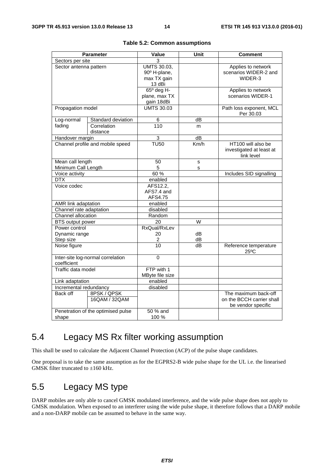|                                                  | <b>Parameter</b>                   | <b>Value</b>                                                | Unit            | <b>Comment</b>                                               |
|--------------------------------------------------|------------------------------------|-------------------------------------------------------------|-----------------|--------------------------------------------------------------|
| Sectors per site                                 |                                    | 3                                                           |                 |                                                              |
| Sector antenna pattern                           |                                    | <b>UMTS 30.03,</b><br>90° H-plane,<br>max TX gain<br>13 dBi |                 | Applies to network<br>scenarios WIDER-2 and<br>WIDER-3       |
|                                                  |                                    | $65^\circ$ deg H-<br>plane, max TX<br>gain 18dBi            |                 | Applies to network<br>scenarios WIDER-1                      |
| Propagation model                                |                                    | <b>UMTS 30.03</b>                                           |                 | Path loss exponent, MCL<br>Per 30.03                         |
| Log-normal<br>Standard deviation                 |                                    | 6                                                           | dB              |                                                              |
| fading                                           | Correlation<br>distance            | 110                                                         | m               |                                                              |
| Handover margin                                  |                                    | 3                                                           | $\overline{dB}$ |                                                              |
|                                                  | Channel profile and mobile speed   | <b>TU50</b>                                                 | Km/h            | HT100 will also be<br>investigated at least at<br>link level |
| Mean call length                                 |                                    | 50                                                          | s               |                                                              |
| Minimum Call Length                              |                                    | 5                                                           | s               |                                                              |
| Voice activity                                   |                                    | 60%                                                         |                 | Includes SID signalling                                      |
| <b>DTX</b>                                       |                                    | enabled                                                     |                 |                                                              |
| Voice codec                                      |                                    | AFS12.2,<br>AFS7.4 and<br>AFS4.75                           |                 |                                                              |
| AMR link adaptation                              |                                    | enabled                                                     |                 |                                                              |
| Channel rate adaptation                          |                                    | disabled                                                    |                 |                                                              |
| Channel allocation                               |                                    | Random                                                      |                 |                                                              |
| <b>BTS</b> output power                          |                                    | 20                                                          | $\overline{W}$  |                                                              |
| Power control                                    |                                    | RxQual/RxLev                                                |                 |                                                              |
| Dynamic range                                    |                                    | 20                                                          | dВ              |                                                              |
| Step size                                        |                                    | 2                                                           | dВ              |                                                              |
| Noise figure                                     |                                    | $\overline{10}$                                             | dB              | Reference temperature<br>$25^{\circ}$ C                      |
| Inter-site log-normal correlation<br>coefficient |                                    | 0                                                           |                 |                                                              |
| Traffic data model                               |                                    | FTP with 1<br>MByte file size                               |                 |                                                              |
| Link adaptation                                  |                                    | enabled                                                     |                 |                                                              |
| Incremental redundancy                           |                                    | disabled                                                    |                 |                                                              |
| Back off                                         | 8PSK / QPSK                        |                                                             |                 | The maximum back-off                                         |
|                                                  | 16QAM / 32QAM                      |                                                             |                 | on the BCCH carrier shall<br>be vendor specific              |
|                                                  | Penetration of the optimised pulse | 50 % and                                                    |                 |                                                              |
| shape                                            |                                    | 100 %                                                       |                 |                                                              |

### 5.4 Legacy MS Rx filter working assumption

This shall be used to calculate the Adjacent Channel Protection (ACP) of the pulse shape candidates.

One proposal is to take the same assumption as for the EGPRS2-B wide pulse shape for the UL i.e. the linearised GMSK filter truncated to  $\pm 160$  kHz.

### 5.5 Legacy MS type

DARP mobiles are only able to cancel GMSK modulated interference, and the wide pulse shape does not apply to GMSK modulation. When exposed to an interferer using the wide pulse shape, it therefore follows that a DARP mobile and a non-DARP mobile can be assumed to behave in the same way.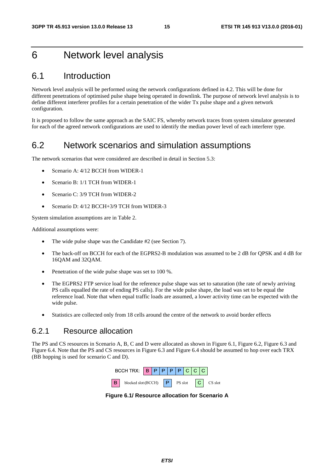### 6 Network level analysis

### 6.1 Introduction

Network level analysis will be performed using the network configurations defined in 4.2. This will be done for different penetrations of optimised pulse shape being operated in downlink. The purpose of network level analysis is to define different interferer profiles for a certain penetration of the wider Tx pulse shape and a given network configuration.

It is proposed to follow the same approach as the SAIC FS, whereby network traces from system simulator generated for each of the agreed network configurations are used to identify the median power level of each interferer type.

### 6.2 Network scenarios and simulation assumptions

The network scenarios that were considered are described in detail in Section 5.3:

- Scenario A: 4/12 BCCH from WIDER-1
- Scenario B: 1/1 TCH from WIDER-1
- Scenario C: 3/9 TCH from WIDER-2
- Scenario D: 4/12 BCCH+3/9 TCH from WIDER-3

System simulation assumptions are in Table 2.

Additional assumptions were:

- The wide pulse shape was the Candidate #2 (see Section 7).
- The back-off on BCCH for each of the EGPRS2-B modulation was assumed to be 2 dB for QPSK and 4 dB for 16QAM and 32QAM.
- Penetration of the wide pulse shape was set to 100 %.
- The EGPRS2 FTP service load for the reference pulse shape was set to saturation (the rate of newly arriving PS calls equalled the rate of ending PS calls). For the wide pulse shape, the load was set to be equal the reference load. Note that when equal traffic loads are assumed, a lower activity time can be expected with the wide pulse.
- Statistics are collected only from 18 cells around the centre of the network to avoid border effects

#### 6.2.1 Resource allocation

The PS and CS resources in Scenario A, B, C and D were allocated as shown in Figure 6.1, Figure 6.2, Figure 6.3 and Figure 6.4. Note that the PS and CS resources in Figure 6.3 and Figure 6.4 should be assumed to hop over each TRX (BB hopping is used for scenario C and D).



**Figure 6.1/ Resource allocation for Scenario A**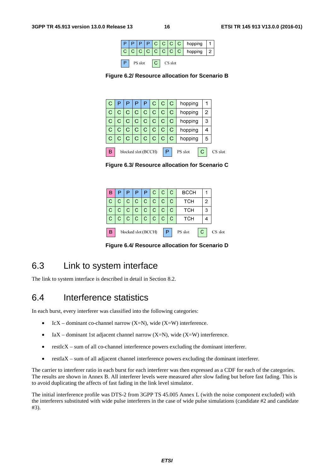|                    |  |  |  |  |  |  |  | $ P P P C C C C $ hopping   |  |
|--------------------|--|--|--|--|--|--|--|-----------------------------|--|
|                    |  |  |  |  |  |  |  | $ c c c c c c c c $ hopping |  |
| PS slot<br>CS slot |  |  |  |  |  |  |  |                             |  |



|   |   |   |   |                     | С | С | С | hopping |   |         |
|---|---|---|---|---------------------|---|---|---|---------|---|---------|
|   | С | С | С | С                   | С | С | С | hopping | 2 |         |
|   | С | С | С | С                   | С | С | С | hopping | 3 |         |
|   | С | С | С | С                   | С | С | С | hopping |   |         |
|   | С | С | С | C                   | С | С | С | hopping | 5 |         |
|   |   |   |   |                     |   |   |   |         |   |         |
| В |   |   |   | blocked slot (BCCH) |   |   |   | PS slot |   | CS slot |

**Figure 6.3/ Resource allocation for Scenario C** 

| B                                               |    | P              | PI             | P.   | c c          |              | -C | <b>BCCH</b> |   |  |
|-------------------------------------------------|----|----------------|----------------|------|--------------|--------------|----|-------------|---|--|
| $\mathbf{C}$                                    | C. |                | C C C          |      | C            | C            | С  | тсн         | 2 |  |
| C                                               | С  | $\overline{C}$ | $\mathsf{C}^-$ | l C- | $\mathsf{C}$ | $\mathsf{C}$ | С  | тсн         | З |  |
| $\mathsf{C}$                                    | С  |                | c   c   c      |      | C            | C            | С  | тсн         |   |  |
| blocked slot (BCCH)<br>۱В<br>PS slot<br>CS slot |    |                |                |      |              |              |    |             |   |  |

**Figure 6.4/ Resource allocation for Scenario D** 

### 6.3 Link to system interface

The link to system interface is described in detail in Section 8.2.

### 6.4 Interference statistics

In each burst, every interferer was classified into the following categories:

- IcX dominant co-channel narrow  $(X=N)$ , wide  $(X=W)$  interference.
- IaX dominant 1st adjacent channel narrow  $(X=N)$ , wide  $(X=W)$  interference.
- restIcX sum of all co-channel interference powers excluding the dominant interferer.
- restIaX sum of all adjacent channel interference powers excluding the dominant interferer.

The carrier to interferer ratio in each burst for each interferer was then expressed as a CDF for each of the categories. The results are shown in Annex B. All interferer levels were measured after slow fading but before fast fading. This is to avoid duplicating the affects of fast fading in the link level simulator.

The initial interference profile was DTS-2 from 3GPP TS 45.005 Annex L (with the noise component excluded) with the interferers substituted with wide pulse interferers in the case of wide pulse simulations (candidate #2 and candidate #3).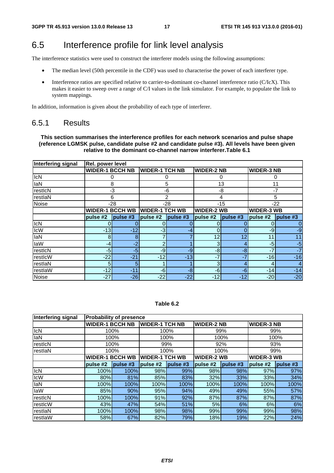### 6.5 Interference profile for link level analysis

The interference statistics were used to construct the interferer models using the following assumptions:

- The median level (50th percentile in the CDF) was used to characterise the power of each interferer type.
- Interference ratios are specified relative to carrier-to-dominant co-channel interference ratio (C/IcX). This makes it easier to sweep over a range of C/I values in the link simulator. For example, to populate the link to system mappings.

In addition, information is given about the probability of each type of interferer.

#### 6.5.1 Results

**This section summarises the interference profiles for each network scenarios and pulse shape (reference LGMSK pulse, candidate pulse #2 and candidate pulse #3). All levels have been given relative to the dominant co-channel narrow interferer.Table 6.1** 

| Interfering signal | <b>Rel. power level</b> |                |                       |          |                   |          |                   |          |
|--------------------|-------------------------|----------------|-----------------------|----------|-------------------|----------|-------------------|----------|
|                    | <b>WIDER-1 BCCH NB</b>  |                | <b>WIDER-1 TCH NB</b> |          | <b>WIDER-2 NB</b> |          | <b>WIDER-3 NB</b> |          |
| <b>IcN</b>         |                         | 0              |                       | O        |                   | 0        |                   | O        |
| <b>laN</b>         | 8                       |                |                       | 5        | 13                |          | 11                |          |
| restIcN            |                         | -3             |                       | -6       |                   | -8       |                   | $-7$     |
| restlaN            |                         | 6              |                       | 2        |                   | 4        |                   | 5        |
| <b>Noise</b>       |                         | $-28$          |                       | $-28$    |                   | $-15$    |                   | $-22$    |
|                    | <b>WIDER-1 BCCH WB</b>  |                | <b>WIDER-1 TCH WB</b> |          | <b>WIDER-2 WB</b> |          | <b>WIDER-3 WB</b> |          |
|                    | pulse #2                | $l$ pulse $#3$ | pulse #2              | pulse #3 | pulse #2          | pulse #3 | pulse #2          | pulse #3 |
| ICN                |                         |                |                       |          |                   |          |                   | 0        |
| <b>IcW</b>         | $-13$                   | $-12$          | $-3$                  | -4       | $\Omega$          |          | -9                | $-9$     |
| <b>laN</b>         | 8                       | 8              | 7                     |          | 12 <sub>1</sub>   | 12       | 11                | 11       |
| laW                | -4                      | $-2$           | 2                     |          | 3 <sub>l</sub>    |          | $-5$              | $-5$     |
| restIcN            | $-5$                    | $-5$           | -9                    | -9       | $-8$              | -8       | $-7$              | $-7$     |
| restIcW            | $-22$                   | $-21$          | $-12$                 | $-13$    | $-7$              | $-7$     | $-16$             | $-16$    |
| restlaN            | 5                       | 5              |                       |          | 3                 |          | 4                 | 4        |
| IrestlaW           | $-12$                   | $-11$          | $-6$                  | -8       | $-6$              | -6       | $-14$             | $-14$    |
| Noise              | $-27$                   | $-26$          | $-22$                 | $-22$    | $-12$             | $-12$    | $-20$             | $-20$    |

#### **Table 6.2**

| Interfering signal |                        | <b>Probability of presence</b> |                       |          |                   |         |                   |          |
|--------------------|------------------------|--------------------------------|-----------------------|----------|-------------------|---------|-------------------|----------|
|                    | <b>WIDER-1 BCCH NB</b> |                                | <b>WIDER-1 TCH NB</b> |          | <b>WIDER-2 NB</b> |         | <b>WIDER-3 NB</b> |          |
| <b>IcN</b>         |                        | 100%                           |                       | 100%     |                   | 99%     |                   | 99%      |
| laN                |                        | 100%                           |                       | 100%     |                   | 100%    |                   | 100%     |
| restIcN            |                        | 100%                           |                       | 99%      |                   | 92%     |                   | 93%      |
| restlaN            |                        | 100%                           |                       | 100%     |                   | 100%    |                   | 99%      |
|                    | <b>WIDER-1 BCCH WB</b> |                                | <b>WIDER-1 TCH WB</b> |          | <b>WIDER-2 WB</b> |         | <b>WIDER-3 WB</b> |          |
|                    | pulse #2               | pulse#3                        | pulse #2              | pulse #3 | pulse #2          | pulse#3 | pulse #2          | pulse #3 |
| IcN                | 100%                   | 100%                           | 98%                   | 99%      | 98%               | 98%     | 97%               | 97%      |
| <b>IcW</b>         | 80%                    | 81%                            | 85%                   | 83%      | 32%               | 33%     | 33%               | 34%      |
| laN                | 100%                   | 100%                           | 100%                  | 100%     | 100%              | 100%    | 100%              | 100%     |
| laW                | 85%                    | 90%                            | 95%                   | 94%      | 49%               | 49%     | 55%               | 57%      |
| resticN            | 100%                   | 100%                           | 91%                   | 92%      | 87%               | 87%     | 87%               | 87%      |
| restIcW            | 43%                    | 47%                            | 54%                   | 51%      | 5%                | 6%      | 6%                | 6%       |
| restlaN            | 100%                   | 100%                           | 98%                   | 98%      | 99%               | 99%     | 99%               | 98%      |
| restlaW            | 58%                    | 67%                            | 82%                   | 79%      | 18%               | 19%     | 22%               | 24%      |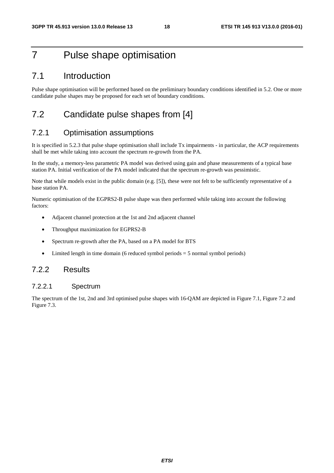## 7 Pulse shape optimisation

### 7.1 Introduction

Pulse shape optimisation will be performed based on the preliminary boundary conditions identified in 5.2. One or more candidate pulse shapes may be proposed for each set of boundary conditions.

### 7.2 Candidate pulse shapes from [4]

#### 7.2.1 Optimisation assumptions

It is specified in 5.2.3 that pulse shape optimisation shall include Tx impairments - in particular, the ACP requirements shall be met while taking into account the spectrum re-growth from the PA.

In the study, a memory-less parametric PA model was derived using gain and phase measurements of a typical base station PA. Initial verification of the PA model indicated that the spectrum re-growth was pessimistic.

Note that while models exist in the public domain (e.g. [5]), these were not felt to be sufficiently representative of a base station PA.

Numeric optimisation of the EGPRS2-B pulse shape was then performed while taking into account the following factors:

- Adjacent channel protection at the 1st and 2nd adjacent channel
- Throughput maximization for EGPRS2-B
- Spectrum re-growth after the PA, based on a PA model for BTS
- Limited length in time domain (6 reduced symbol periods = 5 normal symbol periods)

#### 7.2.2 Results

#### 7.2.2.1 Spectrum

The spectrum of the 1st, 2nd and 3rd optimised pulse shapes with 16-QAM are depicted in Figure 7.1, Figure 7.2 and Figure 7.3.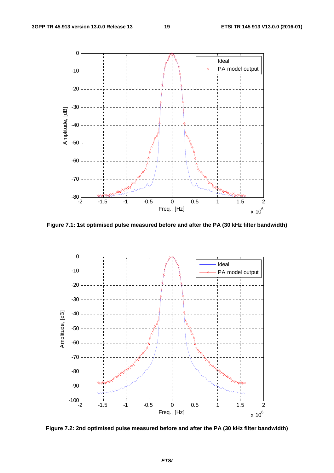

**Figure 7.1: 1st optimised pulse measured before and after the PA (30 kHz filter bandwidth)** 



**Figure 7.2: 2nd optimised pulse measured before and after the PA (30 kHz filter bandwidth)**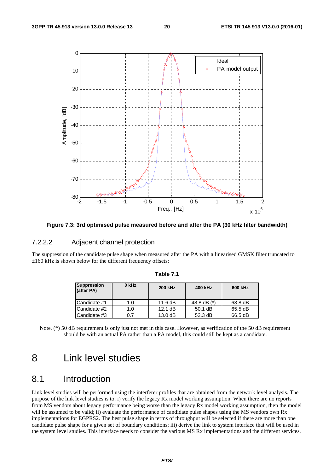

**Figure 7.3: 3rd optimised pulse measured before and after the PA (30 kHz filter bandwidth)** 

#### 7.2.2.2 Adjacent channel protection

The suppression of the candidate pulse shape when measured after the PA with a linearised GMSK filter truncated to  $\pm 160$  kHz is shown below for the different frequency offsets:

| Suppression<br>(after PA) | $0$ kHz | <b>200 kHz</b> | 400 kHz     | 600 kHz |
|---------------------------|---------|----------------|-------------|---------|
| Candidate #1              | 1.0     | 11.6 $dB$      | 48.8 dB (*) | 63.8 dB |
| Candidate #2              | 1.0     | 12.1 dB        | $50.1$ dB   | 65.5 dB |
| Candidate #3              | 0.7     | 13.0 dB        | 52.3 dB     | 66.5 dB |

**Table 7.1** 

Note. (\*) 50 dB requirement is only just not met in this case. However, as verification of the 50 dB requirement should be with an actual PA rather than a PA model, this could still be kept as a candidate.

## 8 Link level studies

### 8.1 Introduction

Link level studies will be performed using the interferer profiles that are obtained from the network level analysis. The purpose of the link level studies is to: i) verify the legacy Rx model working assumption. When there are no reports from MS vendors about legacy performance being worse than the legacy Rx model working assumption, then the model will be assumed to be valid; ii) evaluate the performance of candidate pulse shapes using the MS vendors own Rx implementations for EGPRS2. The best pulse shape in terms of throughput will be selected if there are more than one candidate pulse shape for a given set of boundary conditions; iii) derive the link to system interface that will be used in the system level studies. This interface needs to consider the various MS Rx implementations and the different services.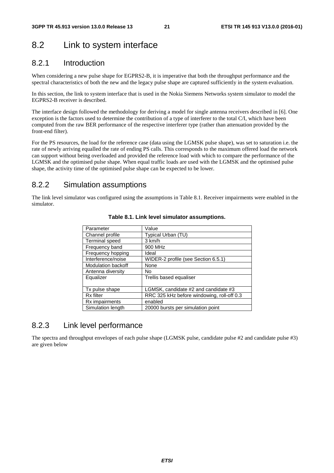### 8.2 Link to system interface

#### 8.2.1 Introduction

When considering a new pulse shape for EGPRS2-B, it is imperative that both the throughput performance and the spectral characteristics of both the new and the legacy pulse shape are captured sufficiently in the system evaluation.

In this section, the link to system interface that is used in the Nokia Siemens Networks system simulator to model the EGPRS2-B receiver is described.

The interface design followed the methodology for deriving a model for single antenna receivers described in [6]. One exception is the factors used to determine the contribution of a type of interferer to the total C/I, which have been computed from the raw BER performance of the respective interferer type (rather than attenuation provided by the front-end filter).

For the PS resources, the load for the reference case (data using the LGMSK pulse shape), was set to saturation i.e. the rate of newly arriving equalled the rate of ending PS calls. This corresponds to the maximum offered load the network can support without being overloaded and provided the reference load with which to compare the performance of the LGMSK and the optimised pulse shape. When equal traffic loads are used with the LGMSK and the optimised pulse shape, the activity time of the optimised pulse shape can be expected to be lower.

#### 8.2.2 Simulation assumptions

The link level simulator was configured using the assumptions in Table 8.1. Receiver impairments were enabled in the simulator.

| Parameter                 | Value                                      |
|---------------------------|--------------------------------------------|
|                           |                                            |
| Channel profile           | Typical Urban (TU)                         |
| <b>Terminal speed</b>     | 3 km/h                                     |
| Frequency band            | 900 MHz                                    |
| Frequency hopping         | Ideal                                      |
| Interference/noise        | WIDER-2 profile (see Section 6.5.1)        |
| <b>Modulation backoff</b> | None                                       |
| Antenna diversity         | No                                         |
| Equalizer                 | Trellis based equaliser                    |
|                           |                                            |
| Tx pulse shape            | LGMSK, candidate #2 and candidate #3       |
| Rx filter                 | RRC 325 kHz before windowing, roll-off 0.3 |
| Rx impairments            | enabled                                    |
| Simulation length         | 20000 bursts per simulation point          |

#### **Table 8.1. Link level simulator assumptions.**

#### 8.2.3 Link level performance

The spectra and throughput envelopes of each pulse shape (LGMSK pulse, candidate pulse #2 and candidate pulse #3) are given below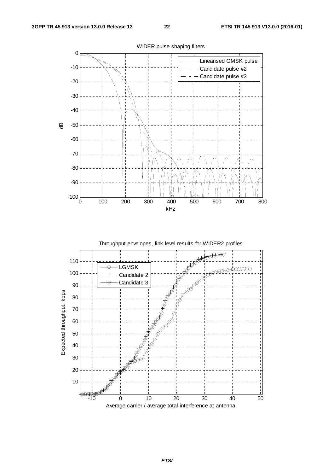



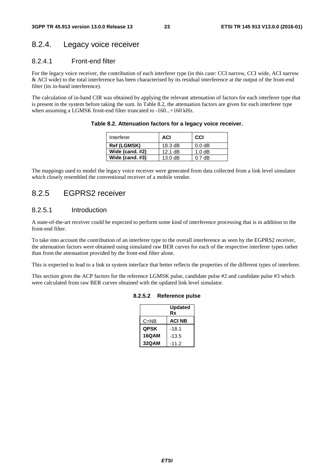#### 8.2.4. Legacy voice receiver

#### 8.2.4.1 Front-end filter

For the legacy voice receiver, the contribution of each interferer type (in this case: CCI narrow, CCI wide, ACI narrow & ACI wide) to the total interference has been characterised by its residual interference at the output of the front-end filter (its in-band interference).

The calculation of in-band CIR was obtained by applying the relevant attenuation of factors for each interferer type that is present in the system before taking the sum. In Table 8.2, the attenuation factors are given for each interferer type when assuming a LGMSK front-end filter truncated to -160...+160 kHz.

**Table 8.2. Attenuation factors for a legacy voice receiver.** 

| Interferer         | <b>ACI</b>        | CCI                |
|--------------------|-------------------|--------------------|
| <b>Ref (LGMSK)</b> | $18.3 \text{ dB}$ | 0.0 <sub>d</sub> B |
| Wide (cand. #2)    | $12.1 \text{ dB}$ | 1.0 dB             |
| Wide (cand. #3)    | 13.0 dB           | $0.7$ dB           |

The mappings used to model the legacy voice receiver were generated from data collected from a link level simulator which closely resembled the conventional receiver of a mobile vendor.

#### 8.2.5 EGPRS2 receiver

#### 8.2.5.1 Introduction

A state-of-the-art receiver could be expected to perform some kind of interference processing that is in addition to the front-end filter.

To take into account the contribution of an interferer type to the overall interference as seen by the EGPRS2 receiver, the attenuation factors were obtained using simulated raw BER curves for each of the respective interferer types rather than from the attenuation provided by the front-end filter alone.

This is expected to lead to a link to system interface that better reflects the properties of the different types of interferer.

This section gives the ACP factors for the reference LGMSK pulse, candidate pulse #2 and candidate pulse #3 which were calculated from raw BER curves obtained with the updated link level simulator.

|              | <b>Updated</b><br>Rx |
|--------------|----------------------|
| $C = NB$     | <b>ACI NB</b>        |
| <b>QPSK</b>  | $-18.1$              |
| <b>16QAM</b> | $-13.5$              |
| 32QAM        | $-11.2$              |

#### **8.2.5.2 Reference pulse**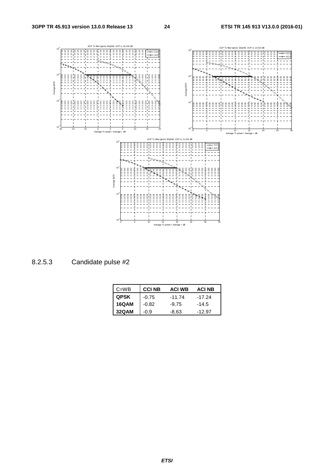

8.2.5.3 Candidate pulse #2

| $C = WB$    | <b>CCI NB</b> | <b>ACI WB</b> | <b>ACI NB</b> |
|-------------|---------------|---------------|---------------|
| <b>QPSK</b> | $-0.75$       | $-11.74$      | $-17.24$      |
| 16QAM       | $-0.82$       | $-9.75$       | $-14.5$       |
| 32QAM       | $-0.9$        | -8.63         | $-12.97$      |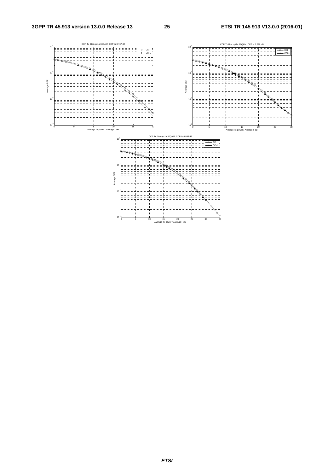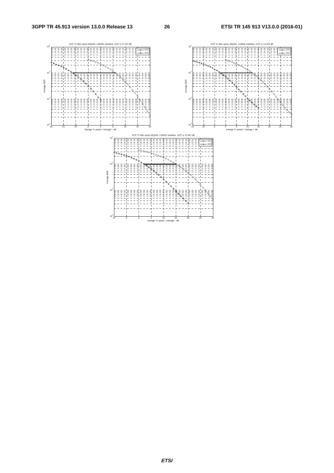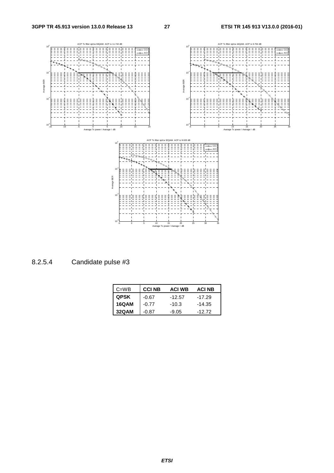

8.2.5.4 Candidate pulse #3

| $C = WB$    | <b>CCI NB</b> | <b>ACI WB</b> | <b>ACI NB</b> |
|-------------|---------------|---------------|---------------|
| <b>QPSK</b> | $-0.67$       | $-12.57$      | $-17.29$      |
| 16QAM       | $-0.77$       | $-10.3$       | $-14.35$      |
| 32QAM       | $-0.87$       | $-9.05$       | $-12.72$      |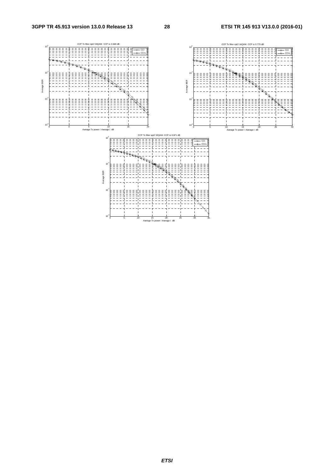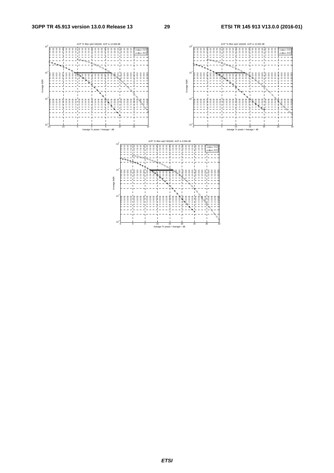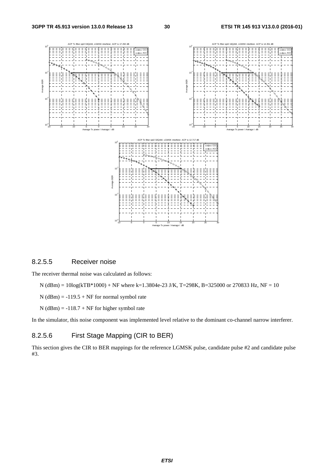

#### 8.2.5.5 Receiver noise

The receiver thermal noise was calculated as follows:

- N (dBm) = 10log(kTB\*1000) + NF where k=1.3804e-23 J/K, T=298K, B=325000 or 270833 Hz, NF = 10
- $N$  (dBm) = -119.5 + NF for normal symbol rate
- $N$  (dBm) = -118.7 + NF for higher symbol rate

In the simulator, this noise component was implemented level relative to the dominant co-channel narrow interferer.

#### 8.2.5.6 First Stage Mapping (CIR to BER)

This section gives the CIR to BER mappings for the reference LGMSK pulse, candidate pulse #2 and candidate pulse #3.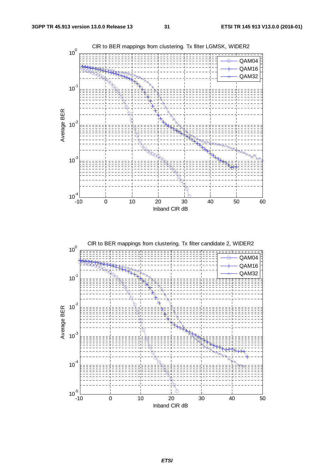

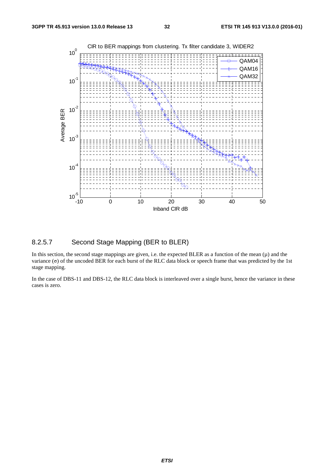

#### 8.2.5.7 Second Stage Mapping (BER to BLER)

In this section, the second stage mappings are given, i.e. the expected BLER as a function of the mean  $(\mu)$  and the variance (σ) of the uncoded BER for each burst of the RLC data block or speech frame that was predicted by the 1st stage mapping.

In the case of DBS-11 and DBS-12, the RLC data block is interleaved over a single burst, hence the variance in these cases is zero.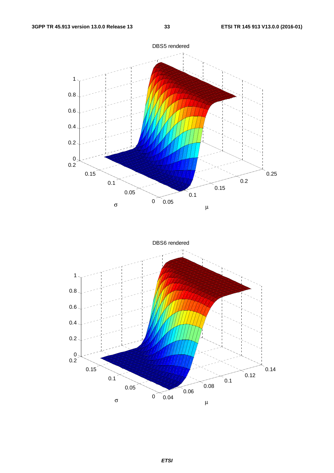

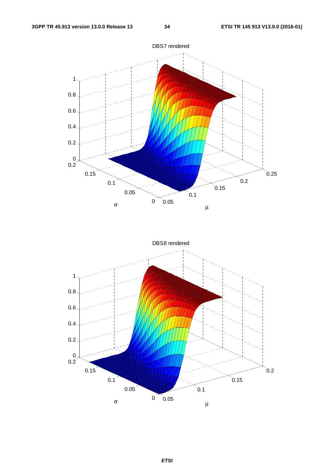

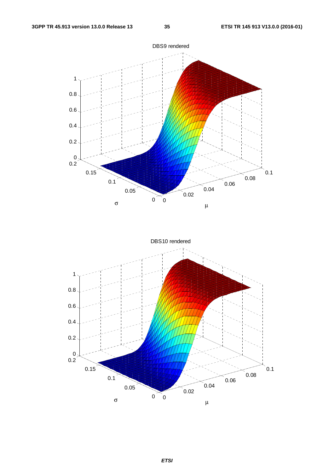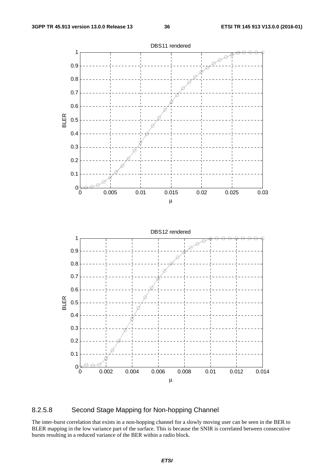

#### 8.2.5.8 Second Stage Mapping for Non-hopping Channel

The inter-burst correlation that exists in a non-hopping channel for a slowly moving user can be seen in the BER to BLER mapping in the low variance part of the surface. This is because the SNIR is correlated between consecutive bursts resulting in a reduced variance of the BER within a radio block.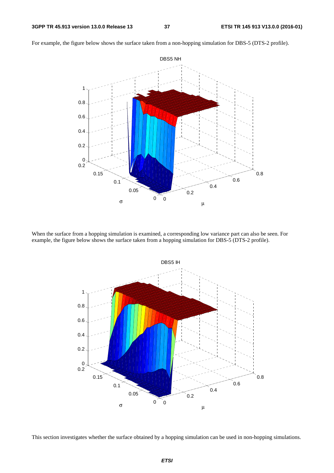

For example, the figure below shows the surface taken from a non-hopping simulation for DBS-5 (DTS-2 profile).

When the surface from a hopping simulation is examined, a corresponding low variance part can also be seen. For example, the figure below shows the surface taken from a hopping simulation for DBS-5 (DTS-2 profile).



This section investigates whether the surface obtained by a hopping simulation can be used in non-hopping simulations.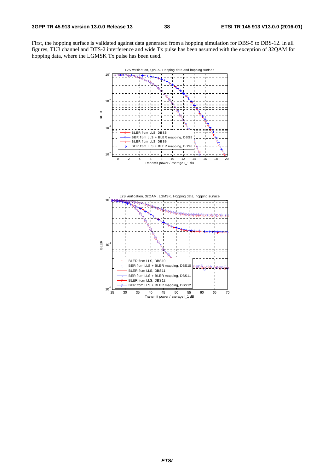First, the hopping surface is validated against data generated from a hopping simulation for DBS-5 to DBS-12. In all figures, TU3 channel and DTS-2 interference and wide Tx pulse has been assumed with the exception of 32QAM for hopping data, where the LGMSK Tx pulse has been used.

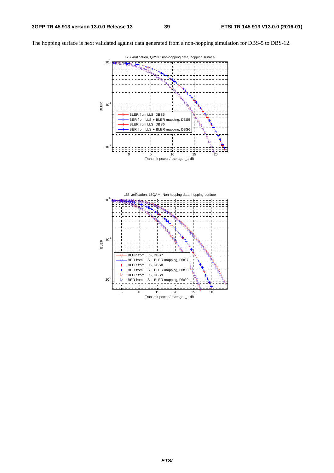The hopping surface is next validated against data generated from a non-hopping simulation for DBS-5 to DBS-12.



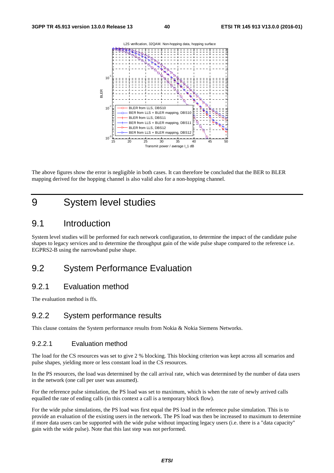

The above figures show the error is negligible in both cases. It can therefore be concluded that the BER to BLER mapping derived for the hopping channel is also valid also for a non-hopping channel.

### 9 System level studies

### 9.1 Introduction

System level studies will be performed for each network configuration, to determine the impact of the candidate pulse shapes to legacy services and to determine the throughput gain of the wide pulse shape compared to the reference i.e. EGPRS2-B using the narrowband pulse shape.

### 9.2 System Performance Evaluation

#### 9.2.1 Evaluation method

The evaluation method is ffs.

#### 9.2.2 System performance results

This clause contains the System performance results from Nokia & Nokia Siemens Networks.

#### 9.2.2.1 Evaluation method

The load for the CS resources was set to give 2 % blocking. This blocking criterion was kept across all scenarios and pulse shapes, yielding more or less constant load in the CS resources.

In the PS resources, the load was determined by the call arrival rate, which was determined by the number of data users in the network (one call per user was assumed).

For the reference pulse simulation, the PS load was set to maximum, which is when the rate of newly arrived calls equalled the rate of ending calls (in this context a call is a temporary block flow).

For the wide pulse simulations, the PS load was first equal the PS load in the reference pulse simulation. This is to provide an evaluation of the existing users in the network. The PS load was then be increased to maximum to determine if more data users can be supported with the wide pulse without impacting legacy users (i.e. there is a "data capacity" gain with the wide pulse). Note that this last step was not performed.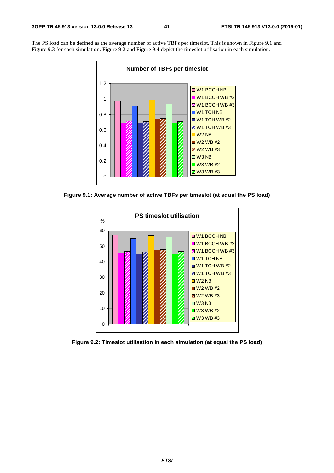The PS load can be defined as the average number of active TBFs per timeslot. This is shown in Figure 9.1 and Figure 9.3 for each simulation. Figure 9.2 and Figure 9.4 depict the timeslot utilisation in each simulation.



**Figure 9.1: Average number of active TBFs per timeslot (at equal the PS load)** 



**Figure 9.2: Timeslot utilisation in each simulation (at equal the PS load)**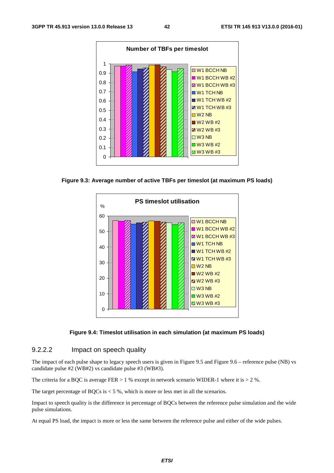

**Figure 9.3: Average number of active TBFs per timeslot (at maximum PS loads)** 





#### 9.2.2.2 Impact on speech quality

The impact of each pulse shape to legacy speech users is given in Figure 9.5 and Figure 9.6 – reference pulse (NB) vs candidate pulse #2 (WB#2) vs candidate pulse #3 (WB#3).

The criteria for a BQC is average FER  $> 1$  % except in network scenario WIDER-1 where it is  $> 2$  %.

The target percentage of BQCs is  $<$  5 %, which is more or less met in all the scenarios.

Impact to speech quality is the difference in percentage of BQCs between the reference pulse simulation and the wide pulse simulations.

At equal PS load, the impact is more or less the same between the reference pulse and either of the wide pulses.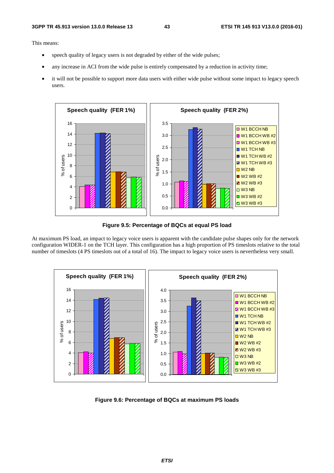This means:

- speech quality of legacy users is not degraded by either of the wide pulses;
- any increase in ACI from the wide pulse is entirely compensated by a reduction in activity time;
- it will not be possible to support more data users with either wide pulse without some impact to legacy speech users.



**Figure 9.5: Percentage of BQCs at equal PS load** 

At maximum PS load, an impact to legacy voice users is apparent with the candidate pulse shapes only for the network configuration WIDER-1 on the TCH layer. This configuration has a high proportion of PS timeslots relative to the total number of timeslots (4 PS timeslots out of a total of 16). The impact to legacy voice users is nevertheless very small.



**Figure 9.6: Percentage of BQCs at maximum PS loads**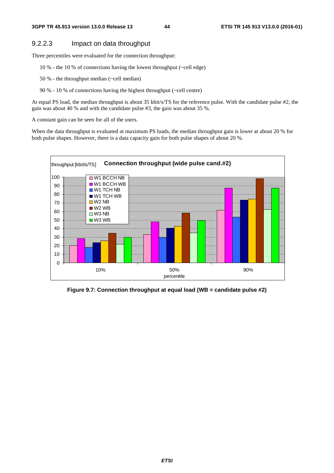#### 9.2.2.3 Impact on data throughput

Three percentiles were evaluated for the connection throughput:

- 10 % the 10 % of connections having the lowest throughput (~cell edge)
- 50 % the throughput median (~cell median)
- 90 % 10 % of connections having the highest throughput (~cell centre)

At equal PS load, the median throughput is about 35 kbit/s/TS for the reference pulse. With the candidate pulse #2, the gain was about 40 % and with the candidate pulse #3, the gain was about 35 %.

A constant gain can be seen for all of the users.

When the data throughput is evaluated at maximum PS loads, the median throughput gain is lower at about 20 % for both pulse shapes. However, there is a data capacity gain for both pulse shapes of about 20 %.



**Figure 9.7: Connection throughput at equal load (WB = candidate pulse #2)**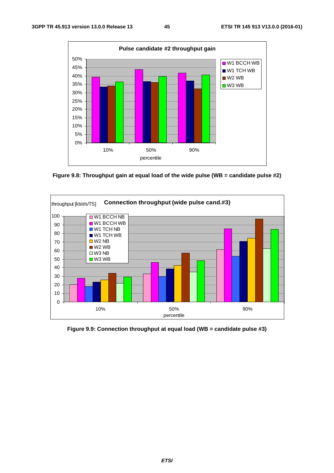

**Figure 9.8: Throughput gain at equal load of the wide pulse (WB = candidate pulse #2)** 



**Figure 9.9: Connection throughput at equal load (WB = candidate pulse #3)**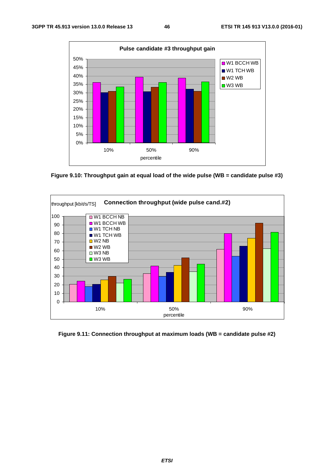

**Figure 9.10: Throughput gain at equal load of the wide pulse (WB = candidate pulse #3)** 



**Figure 9.11: Connection throughput at maximum loads (WB = candidate pulse #2)**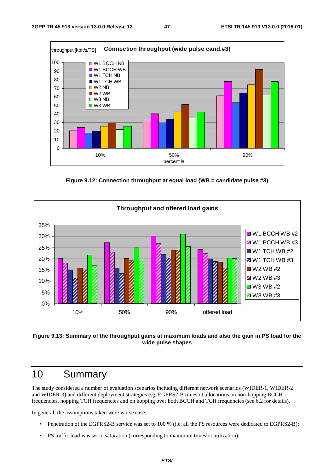

**Figure 9.12: Connection throughput at equal load (WB = candidate pulse #3)** 



#### **Figure 9.13: Summary of the throughput gains at maximum loads and also the gain in PS load for the wide pulse shapes**

### 10 Summary

The study considered a number of evaluation scenarios including different network scenarios (WIDER-1, WIDER-2 and WIDER-3) and different deployment strategies e.g. EGPRS2-B timeslot allocations on non-hopping BCCH frequencies, hopping TCH frequencies and on hopping over both BCCH and TCH frequencies (see 6.2 for details).

In general, the assumptions taken were worse case:

- Penetration of the EGPRS2-B service was set to 100 % (i.e. all the PS resources were dedicated to EGPRS2-B);
- PS traffic load was set to saturation (corresponding to maximum timeslot utilization);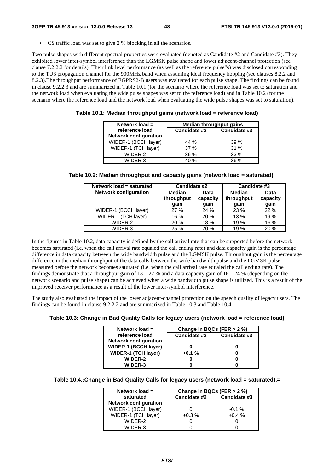• CS traffic load was set to give 2 % blocking in all the scenarios.

Two pulse shapes with different spectral properties were evaluated (denoted as Candidate #2 and Candidate #3). They exhibited lower inter-symbol interference than the LGMSK pulse shape and lower adjacent-channel protection (see clause 7.2.2.2 for details). Their link level performance (as well as the reference pulse"s) was disclosed corresponding to the TU3 propagation channel for the 900MHz band when assuming ideal frequency hopping (see clauses 8.2.2 and 8.2.3).The throughput performance of EGPRS2-B users was evaluated for each pulse shape. The findings can be found in clause 9.2.2.3 and are summarized in Table 10.1 (for the scenario where the reference load was set to saturation and the network load when evaluating the wide pulse shapes was set to the reference load) and in Table 10.2 (for the scenario where the reference load and the network load when evaluating the wide pulse shapes was set to saturation).

**Table 10.1: Median throughput gains (network load = reference load)** 

| Network load $=$                               | <b>Median throughput gains</b> |              |  |
|------------------------------------------------|--------------------------------|--------------|--|
| reference load<br><b>Network configuration</b> | Candidate #2                   | Candidate #3 |  |
| WIDER-1 (BCCH layer)                           | 44 %                           | 39%          |  |
| WIDER-1 (TCH layer)                            | 37%                            | 31 %         |  |
| WIDER-2                                        | 36 %                           | $33\%$       |  |
| WIDER-3                                        | 40 %                           | 36%          |  |

| Table 10.2: Median throughput and capacity gains (network load = saturated) |  |  |  |  |  |  |
|-----------------------------------------------------------------------------|--|--|--|--|--|--|
|-----------------------------------------------------------------------------|--|--|--|--|--|--|

| Network load = saturated     | <b>Candidate #2</b>                 |                          | Candidate #3                        |                          |
|------------------------------|-------------------------------------|--------------------------|-------------------------------------|--------------------------|
| <b>Network configuration</b> | <b>Median</b><br>throughput<br>qain | Data<br>capacity<br>gain | <b>Median</b><br>throughput<br>gain | Data<br>capacity<br>gain |
| WIDER-1 (BCCH layer)         | 27 %                                | 24 %                     | 23 %                                | 22 %                     |
| WIDER-1 (TCH layer)          | 16 %                                | 20 %                     | 13 %                                | 19 %                     |
| WIDER-2                      | 20 %                                | 18 %                     | 19 %                                | 16 %                     |
| WIDER-3                      | 25 %                                | 20 %                     | 19 %                                | 20 %                     |

In the figures in Table 10.2, data capacity is defined by the call arrival rate that can be supported before the network becomes saturated (i.e. when the call arrival rate equaled the call ending rate) and data capacity gain is the percentage difference in data capacity between the wide bandwidth pulse and the LGMSK pulse. Throughput gain is the percentage difference in the median throughput of the data calls between the wide bandwidth pulse and the LGMSK pulse measured before the network becomes saturated (i.e. when the call arrival rate equaled the call ending rate). The findings demonstrate that a throughput gain of  $13 - 27$  % and a data capacity gain of  $16 - 24$  % (depending on the network scenario and pulse shape) can be achieved when a wide bandwidth pulse shape is utilized. This is a result of the improved receiver performance as a result of the lower inter-symbol interference.

The study also evaluated the impact of the lower adjacent-channel protection on the speech quality of legacy users. The findings can be found in clause 9.2.2.2 and are summarized in Table 10.3 and Table 10.4.

#### **Table 10.3: Change in Bad Quality Calls for legacy users (network load = reference load)**

| Network load $=$                               | Change in BQCs (FER $>$ 2 %) |              |
|------------------------------------------------|------------------------------|--------------|
| reference load<br><b>Network configuration</b> | Candidate #2                 | Candidate #3 |
| <b>WIDER-1 (BCCH layer)</b>                    |                              |              |
| <b>WIDER-1 (TCH layer)</b>                     | $+0.1%$                      |              |
| <b>WIDER-2</b>                                 |                              |              |
| <b>WIDER-3</b>                                 |                              |              |

#### **Table 10.4.:Change in Bad Quality Calls for legacy users (network load = saturated).=**

| Network load $=$             | Change in BQCs (FER $>$ 2 %) |              |  |
|------------------------------|------------------------------|--------------|--|
| saturated                    | Candidate #2                 | Candidate #3 |  |
| <b>Network configuration</b> |                              |              |  |
| WIDER-1 (BCCH layer)         |                              | $-0.1%$      |  |
| WIDER-1 (TCH layer)          | $+0.3%$                      | $+0.4%$      |  |
| WIDFR-2                      |                              |              |  |
| WIDER-3                      |                              |              |  |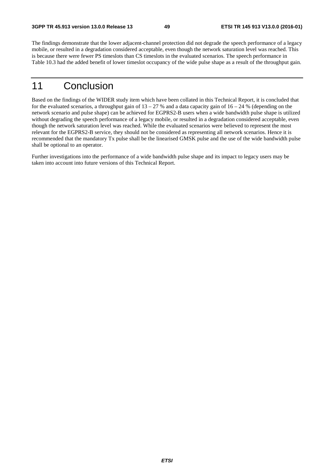The findings demonstrate that the lower adjacent-channel protection did not degrade the speech performance of a legacy mobile, or resulted in a degradation considered acceptable, even though the network saturation level was reached. This is because there were fewer PS timeslots than CS timeslots in the evaluated scenarios. The speech performance in Table 10.3 had the added benefit of lower timeslot occupancy of the wide pulse shape as a result of the throughput gain.

## 11 Conclusion

Based on the findings of the WIDER study item which have been collated in this Technical Report, it is concluded that for the evaluated scenarios, a throughput gain of  $13 - 27$  % and a data capacity gain of  $16 - 24$  % (depending on the network scenario and pulse shape) can be achieved for EGPRS2-B users when a wide bandwidth pulse shape is utilized without degrading the speech performance of a legacy mobile, or resulted in a degradation considered acceptable, even though the network saturation level was reached. While the evaluated scenarios were believed to represent the most relevant for the EGPRS2-B service, they should not be considered as representing all network scenarios. Hence it is recommended that the mandatory Tx pulse shall be the linearised GMSK pulse and the use of the wide bandwidth pulse shall be optional to an operator.

Further investigations into the performance of a wide bandwidth pulse shape and its impact to legacy users may be taken into account into future versions of this Technical Report.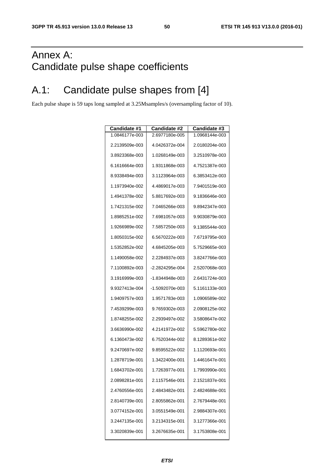## Annex A: Candidate pulse shape coefficients

## A.1: Candidate pulse shapes from [4]

Each pulse shape is 59 taps long sampled at 3.25Msamples/s (oversampling factor of 10).

| Candidate #1   | <b>Candidate #2</b> | Candidate #3   |
|----------------|---------------------|----------------|
| 1.0846177e-003 | 2.6977180e-005      | 1.0968144e-003 |
| 2.2139509e-003 | 4.0426372e-004      | 2.0180204e-003 |
| 3.8923368e-003 | 1.0268149e-003      | 3.2510978e-003 |
| 6.1616664e-003 | 1.9311868e-003      | 4.7521387e-003 |
| 8.9338494e-003 | 3.1123964e-003      | 6.3853412e-003 |
| 1.1973940e-002 | 4.4869017e-003      | 7.9401519e-003 |
| 1.4941378e-002 | 5.8817692e-003      | 9.1836646e-003 |
| 1.7421315e-002 | 7.0465266e-003      | 9.8942347e-003 |
| 1.8985251e-002 | 7.6981057e-003      | 9.9030879e-003 |
| 1.9266989e-002 | 7.5857250e-003      | 9.1385544e-003 |
| 1.8050315e-002 | 6.5670222e-003      | 7.6719795e-003 |
| 1.5352852e-002 | 4.6845205e-003      | 5.7529665e-003 |
| 1.1490058e-002 | 2.2284937e-003      | 3.8247766e-003 |
| 7.1100892e-003 | -2.2824295e-004     | 2.5207068e-003 |
| 3.1916999e-003 | -1.8344948e-003     | 2.6431724e-003 |
| 9.9327413e-004 | -1.5092070e-003     | 5.1161133e-003 |
| 1.9409757e-003 | 1.9571783e-003      | 1.0906589e-002 |
| 7.4539299e-003 | 9.7659302e-003      | 2.0908125e-002 |
| 1.8748255e-002 | 2.2939497e-002      | 3.5808647e-002 |
| 3.6636990e-002 | 4.2141972e-002      | 5.5962780e-002 |
| 6.1360473e-002 | 6.7520344e-002      | 8.1289361e-002 |
| 9.2470697e-002 | 9.8595522e-002      | 1.1120693e-001 |
| 1.2878719e-001 | 1.3422400e-001      | 1.4461647e-001 |
| 1.6843702e-001 | 1.7263977e-001      | 1.7993990e-001 |
| 2.0898281e-001 | 2.1157546e-001      | 2.1521837e-001 |
| 2.4760556e-001 | 2.4843482e-001      | 2.4824688e-001 |
| 2.8140739e-001 | 2.8055862e-001      | 2.7679448e-001 |
| 3.0774152e-001 | 3.0551549e-001      | 2.9884307e-001 |
| 3.2447135e-001 | 3.2134315e-001      | 3.1277366e-001 |
| 3.3020839e-001 | 3.2676635e-001      | 3.1753808e-001 |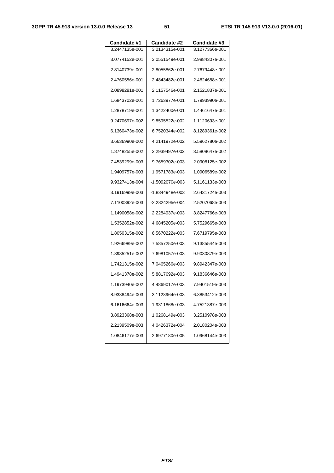| <b>Candidate #1</b> | <b>Candidate #2</b> | Candidate #3   |
|---------------------|---------------------|----------------|
| 3.2447135e-001      | 3.2134315e-001      | 3.1277366e-001 |
| 3.0774152e-001      | 3.0551549e-001      | 2.9884307e-001 |
| 2.8140739e-001      | 2.8055862e-001      | 2.7679448e-001 |
| 2.4760556e-001      | 2.4843482e-001      | 2.4824688e-001 |
| 2.0898281e-001      | 2.1157546e-001      | 2.1521837e-001 |
| 1.6843702e-001      | 1.7263977e-001      | 1.7993990e-001 |
| 1.2878719e-001      | 1.3422400e-001      | 1.4461647e-001 |
| 9.2470697e-002      | 9.8595522e-002      | 1.1120693e-001 |
| 6.1360473e-002      | 6.7520344e-002      | 8.1289361e-002 |
| 3.6636990e-002      | 4.2141972e-002      | 5.5962780e-002 |
| 1.8748255e-002      | 2.2939497e-002      | 3.5808647e-002 |
| 7.4539299e-003      | 9.7659302e-003      | 2.0908125e-002 |
| 1.9409757e-003      | 1.9571783e-003      | 1.0906589e-002 |
| 9.9327413e-004      | -1.5092070e-003     | 5.1161133e-003 |
| 3.1916999e-003      | -1.8344948e-003     | 2.6431724e-003 |
| 7.1100892e-003      | -2.2824295e-004     | 2.5207068e-003 |
| 1.1490058e-002      | 2.2284937e-003      | 3.8247766e-003 |
| 1.5352852e-002      | 4.6845205e-003      | 5.7529665e-003 |
| 1.8050315e-002      | 6.5670222e-003      | 7.6719795e-003 |
| 1.9266989e-002      | 7.5857250e-003      | 9.1385544e-003 |
| 1.8985251e-002      | 7.6981057e-003      | 9.9030879e-003 |
| 1.7421315e-002      | 7.0465266e-003      | 9.8942347e-003 |
| 1.4941378e-002      | 5.8817692e-003      | 9.1836646e-003 |
| 1.1973940e-002      | 4.4869017e-003      | 7.9401519e-003 |
| 8.9338494e-003      | 3.1123964e-003      | 6.3853412e-003 |
| 6.1616664e-003      | 1.9311868e-003      | 4.7521387e-003 |
| 3.8923368e-003      | 1.0268149e-003      | 3.2510978e-003 |
| 2.2139509e-003      | 4.0426372e-004      | 2.0180204e-003 |
| 1.0846177e-003      | 2.6977180e-005      | 1.0968144e-003 |
|                     |                     |                |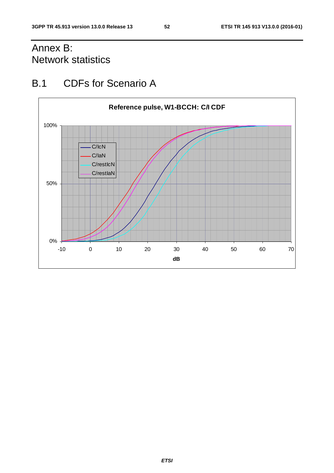## Annex B: Network statistics

## B.1 CDFs for Scenario A

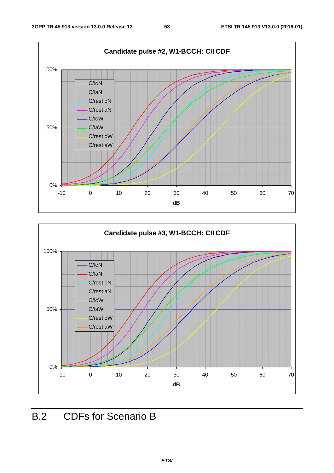



## B.2 CDFs for Scenario B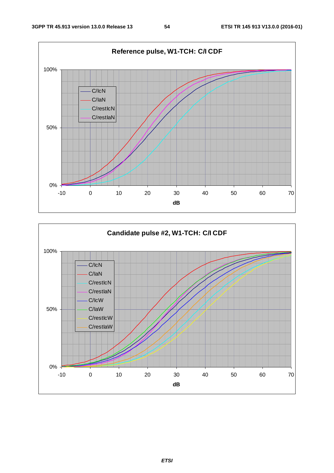

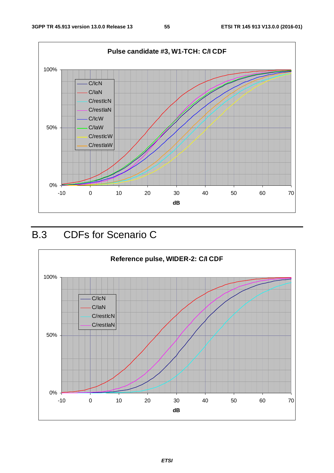

## B.3 CDFs for Scenario C

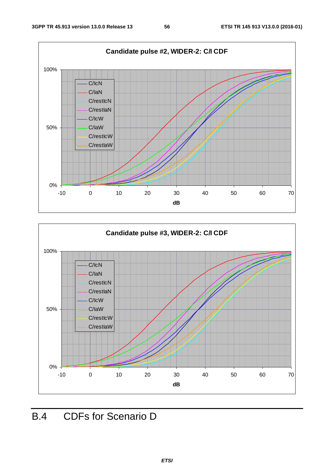



## B.4 CDFs for Scenario D

*ETSI*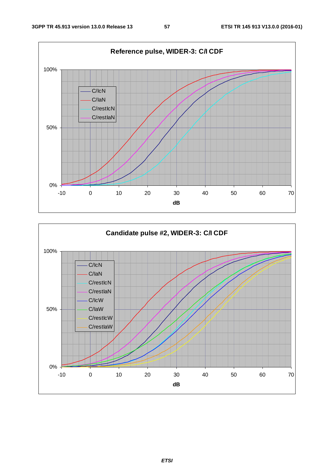

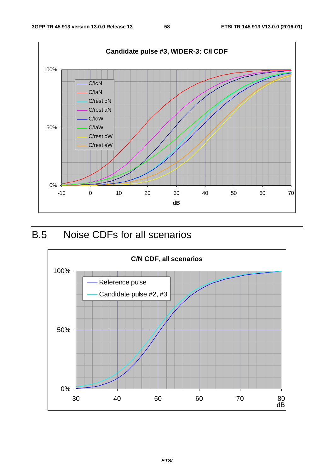

## B.5 Noise CDFs for all scenarios

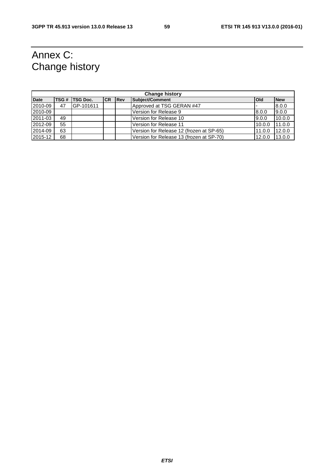## Annex C: Change history

| <b>Change history</b> |      |                 |           |             |                                          |              |            |
|-----------------------|------|-----------------|-----------|-------------|------------------------------------------|--------------|------------|
| <b>Date</b>           | TSG# | <b>TSG Doc.</b> | <b>CR</b> | <b>IRev</b> | Subject/Comment                          | <b>l</b> Old | <b>New</b> |
| 2010-09               | 47   | GP-101611       |           |             | Approved at TSG GERAN #47                |              | 8.0.0      |
| 2010-09               |      |                 |           |             | Version for Release 9                    | 8.0.0        | 9.0.0      |
| 2011-03               | 49   |                 |           |             | Version for Release 10                   | 9.0.0        | 10.0.0     |
| 2012-09               | 55   |                 |           |             | Version for Release 11                   | 10.0.0       | 11.0.0     |
| 2014-09               | 63   |                 |           |             | Version for Release 12 (frozen at SP-65) | 11.0.0       | 12.0.0     |
| 2015-12               | 68   |                 |           |             | Version for Release 13 (frozen at SP-70) | 12.0.0       | 13.0.0     |